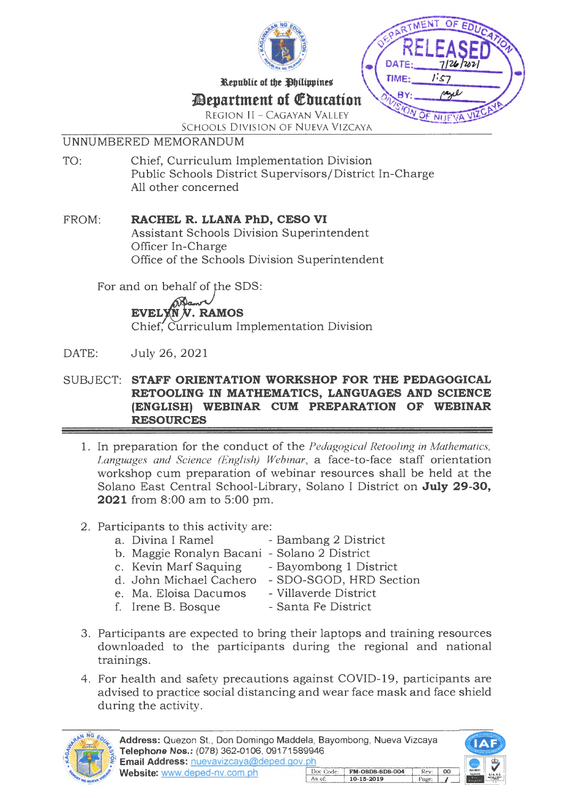



# ~epartment **of** ~butation

REGION II - CAGAYAN VALLEY SCHOOLS DIVISION OF NUEVA VIZCAYA

#### UNNUMBERED MEMORANDUM

TO: Chief, Curriculum Implementation Division Public Schools District Supervisors/District In-Charge All other concerned

#### FROM: **RACHEL R. LLANA PhD, CESO VI**

Assistant Schools Division Superintendent Officer In -Charge Office of the Schools Division Superintendent

For and on behalf of the SDS:

EVELYN  $N$ . RAMOS Chief, Curriculum Implementation Division

## DATE: July 26, 2021

#### SUBJECT: **STAFF ORIENTATION WORKSHOP FOR THE PEDAGOGICAL RETOOLING IN MATHEMATICS, LANGUAGES AND SCIENCE (ENGLISH) WEBINAR CUM PREPARATION OF WEBINAR RESOURCES**

1. In preparation for the conduct of the *Pedagogical Retooling in Mathematics, Languages and Science (English) Webinar,* a face-to-face staff orientation workshop cum preparation of webinar resources shall be held at the Solano East Central School-Library, Solano I District on **July 29-30, 2021** from 8:00 am to 5:00 pm.

## 2. Participants to this activity are:

- a. Divina I Ramel Bambang 2 District
- b. Maggie Ronalyn Bacani Solano 2 District
- 
- Bayombong 1 District d. John Michael Cachero - SDO-SGOD, HRD Section
- e. Ma. Eloisa Dacumos Villaverde District
	-
- f. Irene B. Bosque Santa Fe District
	-
- 3. Participants are expected to bring their laptops and training resources downloaded to the participants during the regional and national trainings.
- 4. For health and safety precautions against COVID-19, participants are advised to practice social distancing and wear face mask and face shield during the activity.



Address: Quezon St., Don Domingo Maddela, Bayombong, Nueva Vizcaya Telephone Nos.: (078) 362-0106, 09171589946 Email Address: nuevavizcaya@deped.gov.ph Website: www.deped-nv.com.ph FM-08D8-8D8-004 Rev: 10-15-2019 Page